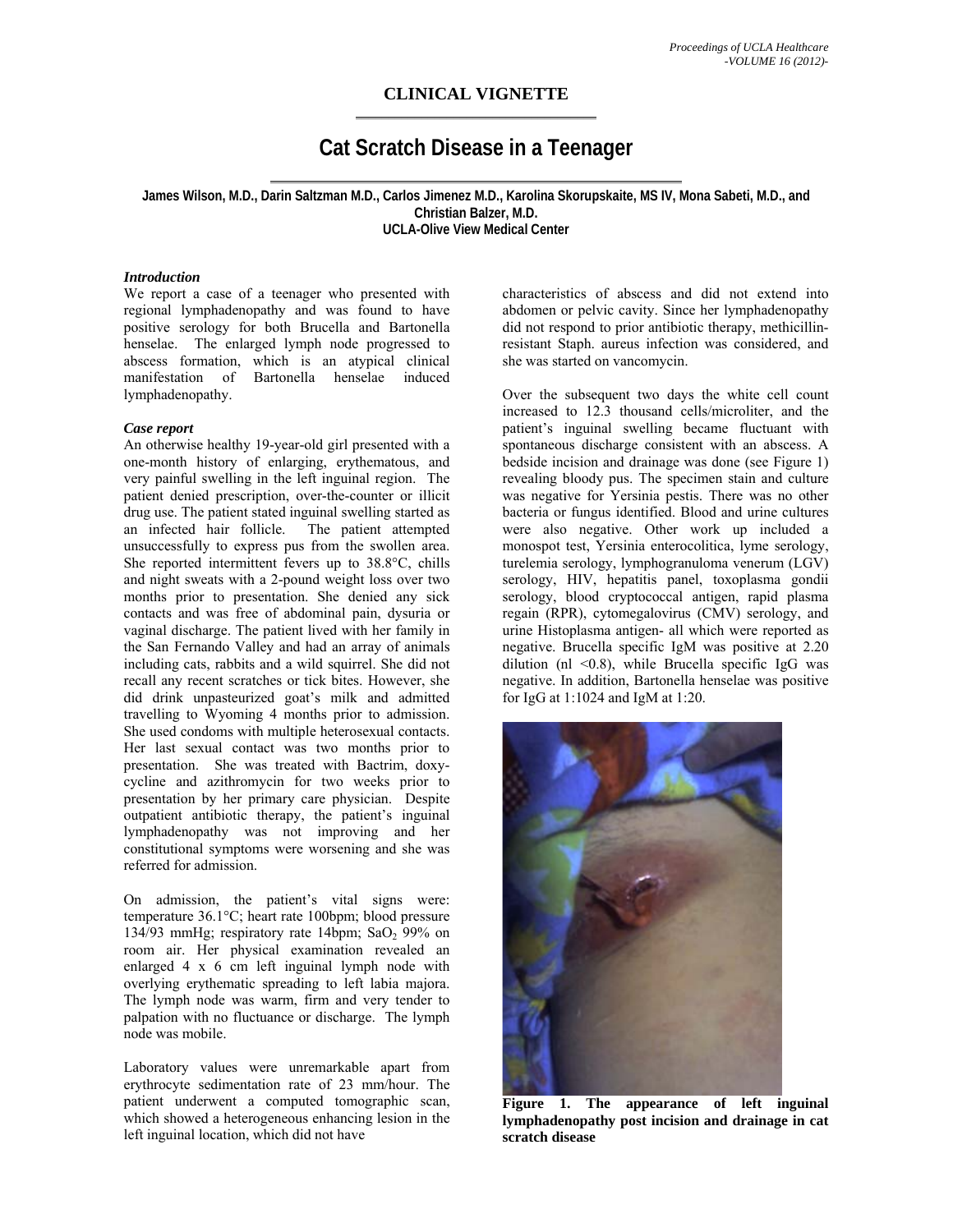## **CLINICAL VIGNETTE**

# **Cat Scratch Disease in a Teenager**

**James Wilson, M.D., Darin Saltzman M.D., Carlos Jimenez M.D., Karolina Skorupskaite, MS IV, Mona Sabeti, M.D., and Christian Balzer, M.D. UCLA-Olive View Medical Center** 

#### *Introduction*

We report a case of a teenager who presented with regional lymphadenopathy and was found to have positive serology for both Brucella and Bartonella henselae. The enlarged lymph node progressed to abscess formation, which is an atypical clinical manifestation of Bartonella henselae induced lymphadenopathy.

#### *Case report*

An otherwise healthy 19-year-old girl presented with a one-month history of enlarging, erythematous, and very painful swelling in the left inguinal region. The patient denied prescription, over-the-counter or illicit drug use. The patient stated inguinal swelling started as an infected hair follicle. The patient attempted unsuccessfully to express pus from the swollen area. She reported intermittent fevers up to 38.8°C, chills and night sweats with a 2-pound weight loss over two months prior to presentation. She denied any sick contacts and was free of abdominal pain, dysuria or vaginal discharge. The patient lived with her family in the San Fernando Valley and had an array of animals including cats, rabbits and a wild squirrel. She did not recall any recent scratches or tick bites. However, she did drink unpasteurized goat's milk and admitted travelling to Wyoming 4 months prior to admission. She used condoms with multiple heterosexual contacts. Her last sexual contact was two months prior to presentation. She was treated with Bactrim, doxycycline and azithromycin for two weeks prior to presentation by her primary care physician. Despite outpatient antibiotic therapy, the patient's inguinal lymphadenopathy was not improving and her constitutional symptoms were worsening and she was referred for admission.

On admission, the patient's vital signs were: temperature 36.1°C; heart rate 100bpm; blood pressure 134/93 mmHg; respiratory rate 14bpm;  $SaO<sub>2</sub>$  99% on room air. Her physical examination revealed an enlarged 4 x 6 cm left inguinal lymph node with overlying erythematic spreading to left labia majora. The lymph node was warm, firm and very tender to palpation with no fluctuance or discharge. The lymph node was mobile.

Laboratory values were unremarkable apart from erythrocyte sedimentation rate of 23 mm/hour. The patient underwent a computed tomographic scan, which showed a heterogeneous enhancing lesion in the left inguinal location, which did not have

characteristics of abscess and did not extend into abdomen or pelvic cavity. Since her lymphadenopathy did not respond to prior antibiotic therapy, methicillinresistant Staph. aureus infection was considered, and she was started on vancomycin.

Over the subsequent two days the white cell count increased to 12.3 thousand cells/microliter, and the patient's inguinal swelling became fluctuant with spontaneous discharge consistent with an abscess. A bedside incision and drainage was done (see Figure 1) revealing bloody pus. The specimen stain and culture was negative for Yersinia pestis. There was no other bacteria or fungus identified. Blood and urine cultures were also negative. Other work up included a monospot test, Yersinia enterocolitica, lyme serology, turelemia serology, lymphogranuloma venerum (LGV) serology, HIV, hepatitis panel, toxoplasma gondii serology, blood cryptococcal antigen, rapid plasma regain (RPR), cytomegalovirus (CMV) serology, and urine Histoplasma antigen- all which were reported as negative. Brucella specific IgM was positive at 2.20 dilution (nl  $\leq$ 0.8), while Brucella specific IgG was negative. In addition, Bartonella henselae was positive for IgG at 1:1024 and IgM at 1:20.



**Figure 1. The appearance of left inguinal lymphadenopathy post incision and drainage in cat scratch disease**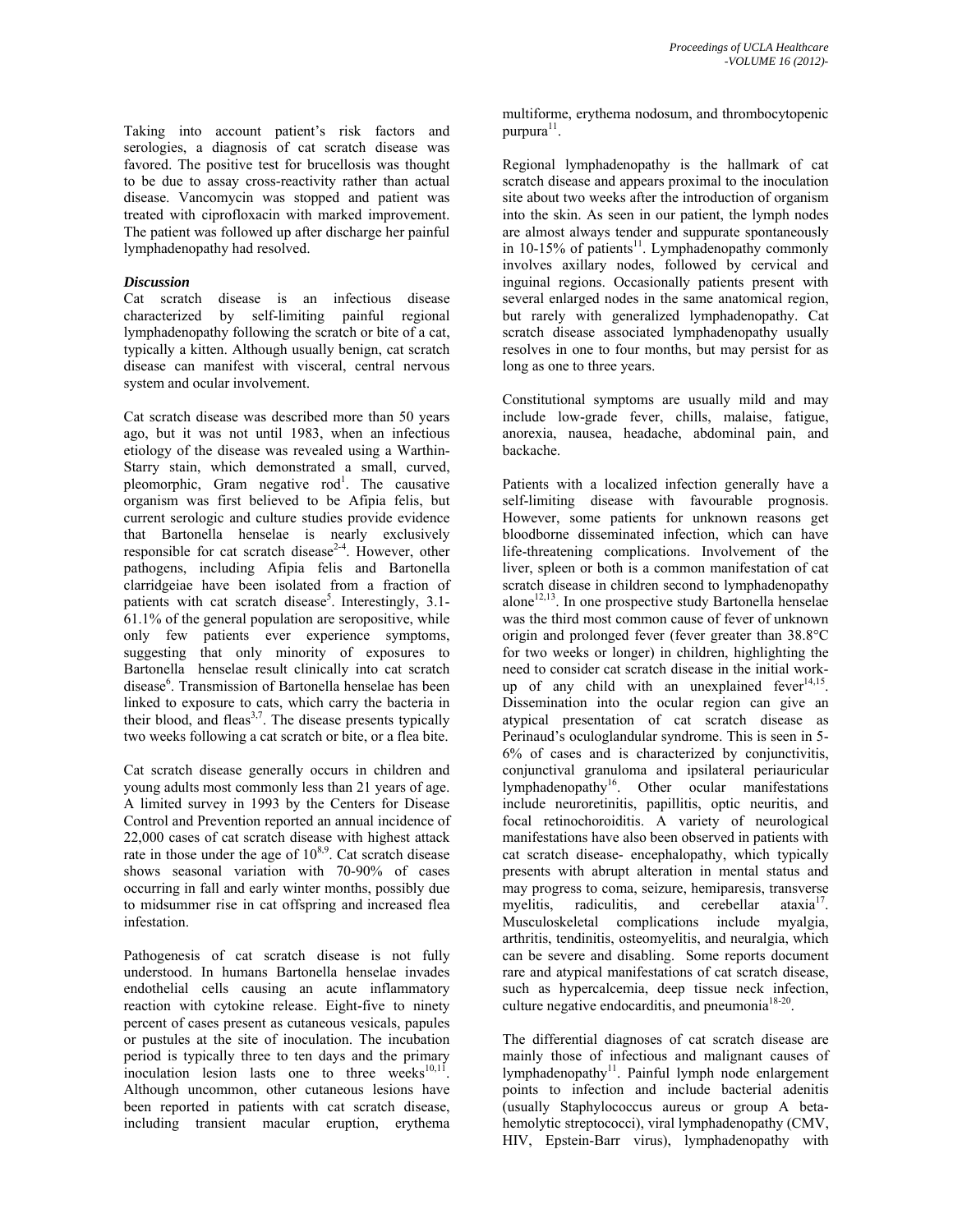Taking into account patient's risk factors and serologies, a diagnosis of cat scratch disease was favored. The positive test for brucellosis was thought to be due to assay cross-reactivity rather than actual disease. Vancomycin was stopped and patient was treated with ciprofloxacin with marked improvement. The patient was followed up after discharge her painful lymphadenopathy had resolved.

### *Discussion*

Cat scratch disease is an infectious disease characterized by self-limiting painful regional lymphadenopathy following the scratch or bite of a cat, typically a kitten. Although usually benign, cat scratch disease can manifest with visceral, central nervous system and ocular involvement.

Cat scratch disease was described more than 50 years ago, but it was not until 1983, when an infectious etiology of the disease was revealed using a Warthin-Starry stain, which demonstrated a small, curved, pleomorphic, Gram negative rod<sup>1</sup>. The causative organism was first believed to be Afipia felis, but current serologic and culture studies provide evidence that Bartonella henselae is nearly exclusively responsible for cat scratch disease<sup>2-4</sup>. However, other pathogens, including Afipia felis and Bartonella clarridgeiae have been isolated from a fraction of patients with cat scratch disease<sup>5</sup>. Interestingly, 3.1-61.1% of the general population are seropositive, while only few patients ever experience symptoms, suggesting that only minority of exposures to Bartonella henselae result clinically into cat scratch disease<sup>6</sup>. Transmission of Bartonella henselae has been linked to exposure to cats, which carry the bacteria in their blood, and fleas $3,7$ . The disease presents typically two weeks following a cat scratch or bite, or a flea bite.

Cat scratch disease generally occurs in children and young adults most commonly less than 21 years of age. A limited survey in 1993 by the Centers for Disease Control and Prevention reported an annual incidence of 22,000 cases of cat scratch disease with highest attack rate in those under the age of  $10^{8,9}$ . Cat scratch disease shows seasonal variation with 70-90% of cases occurring in fall and early winter months, possibly due to midsummer rise in cat offspring and increased flea infestation.

Pathogenesis of cat scratch disease is not fully understood. In humans Bartonella henselae invades endothelial cells causing an acute inflammatory reaction with cytokine release. Eight-five to ninety percent of cases present as cutaneous vesicals, papules or pustules at the site of inoculation. The incubation period is typically three to ten days and the primary inoculation lesion lasts one to three weeks $10,11$ . Although uncommon, other cutaneous lesions have been reported in patients with cat scratch disease, including transient macular eruption, erythema multiforme, erythema nodosum, and thrombocytopenic purpura $11$ .

Regional lymphadenopathy is the hallmark of cat scratch disease and appears proximal to the inoculation site about two weeks after the introduction of organism into the skin. As seen in our patient, the lymph nodes are almost always tender and suppurate spontaneously in 10-15% of patients<sup>11</sup>. Lymphadenopathy commonly involves axillary nodes, followed by cervical and inguinal regions. Occasionally patients present with several enlarged nodes in the same anatomical region, but rarely with generalized lymphadenopathy. Cat scratch disease associated lymphadenopathy usually resolves in one to four months, but may persist for as long as one to three years.

Constitutional symptoms are usually mild and may include low-grade fever, chills, malaise, fatigue, anorexia, nausea, headache, abdominal pain, and backache.

Patients with a localized infection generally have a self-limiting disease with favourable prognosis. However, some patients for unknown reasons get bloodborne disseminated infection, which can have life-threatening complications. Involvement of the liver, spleen or both is a common manifestation of cat scratch disease in children second to lymphadenopathy  $alone<sup>12,13</sup>$ . In one prospective study Bartonella henselae was the third most common cause of fever of unknown origin and prolonged fever (fever greater than 38.8°C for two weeks or longer) in children, highlighting the need to consider cat scratch disease in the initial workup of any child with an unexplained fever $14,15$ . Dissemination into the ocular region can give an atypical presentation of cat scratch disease as Perinaud's oculoglandular syndrome. This is seen in 5- 6% of cases and is characterized by conjunctivitis, conjunctival granuloma and ipsilateral periauricular lymphadenopathy<sup>16</sup>. Other ocular manifestations include neuroretinitis, papillitis, optic neuritis, and focal retinochoroiditis. A variety of neurological manifestations have also been observed in patients with cat scratch disease- encephalopathy, which typically presents with abrupt alteration in mental status and may progress to coma, seizure, hemiparesis, transverse myelitis, radiculitis, and cerebellar ataxia<sup>17</sup>. Musculoskeletal complications include myalgia, arthritis, tendinitis, osteomyelitis, and neuralgia, which can be severe and disabling. Some reports document rare and atypical manifestations of cat scratch disease, such as hypercalcemia, deep tissue neck infection, culture negative endocarditis, and pneumonia<sup>18-20</sup>.

The differential diagnoses of cat scratch disease are mainly those of infectious and malignant causes of lymphadenopathy<sup>11</sup>. Painful lymph node enlargement points to infection and include bacterial adenitis (usually Staphylococcus aureus or group A betahemolytic streptococci), viral lymphadenopathy (CMV, HIV, Epstein-Barr virus), lymphadenopathy with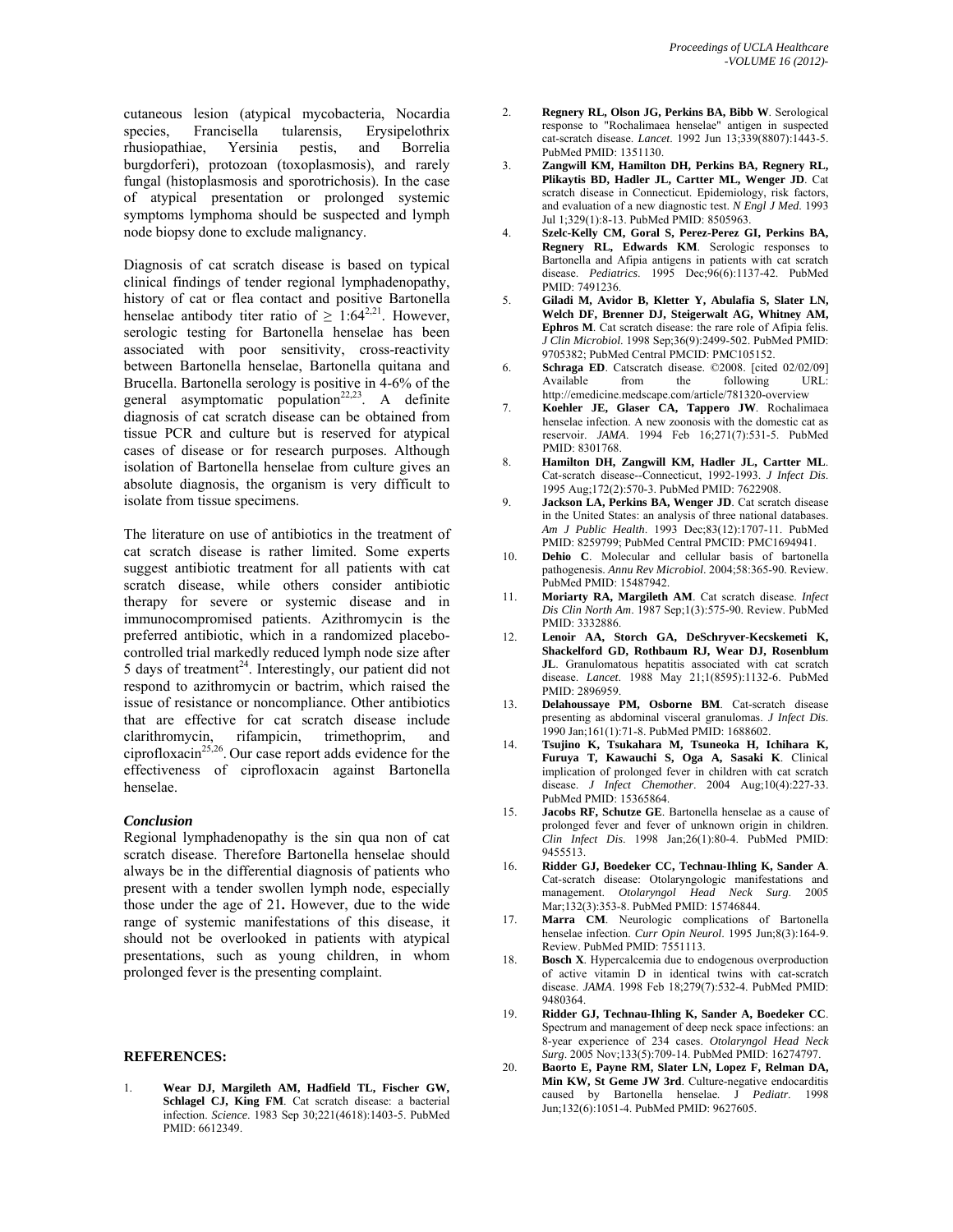cutaneous lesion (atypical mycobacteria, Nocardia species, Francisella tularensis, Erysipelothrix rhusiopathiae, Yersinia pestis, and Borrelia burgdorferi), protozoan (toxoplasmosis), and rarely fungal (histoplasmosis and sporotrichosis). In the case of atypical presentation or prolonged systemic symptoms lymphoma should be suspected and lymph node biopsy done to exclude malignancy.

Diagnosis of cat scratch disease is based on typical clinical findings of tender regional lymphadenopathy, history of cat or flea contact and positive Bartonella henselae antibody titer ratio of  $\geq 1:64^{2,21}$ . However, serologic testing for Bartonella henselae has been associated with poor sensitivity, cross-reactivity between Bartonella henselae, Bartonella quitana and Brucella. Bartonella serology is positive in 4-6% of the general asymptomatic population<sup>22,23</sup>. A definite diagnosis of cat scratch disease can be obtained from tissue PCR and culture but is reserved for atypical cases of disease or for research purposes. Although isolation of Bartonella henselae from culture gives an absolute diagnosis, the organism is very difficult to isolate from tissue specimens.

The literature on use of antibiotics in the treatment of cat scratch disease is rather limited. Some experts suggest antibiotic treatment for all patients with cat scratch disease, while others consider antibiotic therapy for severe or systemic disease and in immunocompromised patients. Azithromycin is the preferred antibiotic, which in a randomized placebocontrolled trial markedly reduced lymph node size after 5 days of treatment<sup>24</sup>. Interestingly, our patient did not respond to azithromycin or bactrim, which raised the issue of resistance or noncompliance. Other antibiotics that are effective for cat scratch disease include clarithromycin, rifampicin, trimethoprim, and ciprofloxacin<sup>25,26</sup>. Our case report adds evidence for the effectiveness of ciprofloxacin against Bartonella henselae.

#### *Conclusion*

Regional lymphadenopathy is the sin qua non of cat scratch disease. Therefore Bartonella henselae should always be in the differential diagnosis of patients who present with a tender swollen lymph node, especially those under the age of 21**.** However, due to the wide range of systemic manifestations of this disease, it should not be overlooked in patients with atypical presentations, such as young children, in whom prolonged fever is the presenting complaint.

#### **REFERENCES:**

1. **Wear DJ, Margileth AM, Hadfield TL, Fischer GW, Schlagel CJ, King FM**. Cat scratch disease: a bacterial infection. *Science*. 1983 Sep 30;221(4618):1403-5. PubMed PMID: 6612349.

- 2. **Regnery RL, Olson JG, Perkins BA, Bibb W**. Serological response to "Rochalimaea henselae" antigen in suspected cat-scratch disease. *Lancet*. 1992 Jun 13;339(8807):1443-5. PubMed PMID: 1351130.
- 3. **Zangwill KM, Hamilton DH, Perkins BA, Regnery RL, Plikaytis BD, Hadler JL, Cartter ML, Wenger JD**. Cat scratch disease in Connecticut. Epidemiology, risk factors, and evaluation of a new diagnostic test. *N Engl J Med*. 1993 Jul 1;329(1):8-13. PubMed PMID: 8505963.
- 4. **Szelc-Kelly CM, Goral S, Perez-Perez GI, Perkins BA, Regnery RL, Edwards KM**. Serologic responses to Bartonella and Afipia antigens in patients with cat scratch disease. *Pediatrics*. 1995 Dec;96(6):1137-42. PubMed PMID: 7491236.
- 5. **Giladi M, Avidor B, Kletter Y, Abulafia S, Slater LN, Welch DF, Brenner DJ, Steigerwalt AG, Whitney AM, Ephros M**. Cat scratch disease: the rare role of Afipia felis. *J Clin Microbiol*. 1998 Sep;36(9):2499-502. PubMed PMID: 9705382; PubMed Central PMCID: PMC105152.
- 6. **Schraga ED**. Catscratch disease. ©2008. [cited 02/02/09] Available from the following URL: http://emedicine.medscape.com/article/781320-overview
- 7. **Koehler JE, Glaser CA, Tappero JW**. Rochalimaea henselae infection. A new zoonosis with the domestic cat as reservoir. *JAMA*. 1994 Feb 16;271(7):531-5. PubMed PMID: 8301768.
- 8. **Hamilton DH, Zangwill KM, Hadler JL, Cartter ML**. Cat-scratch disease--Connecticut, 1992-1993. *J Infect Dis*. 1995 Aug;172(2):570-3. PubMed PMID: 7622908.
- 9. **Jackson LA, Perkins BA, Wenger JD**. Cat scratch disease in the United States: an analysis of three national databases. *Am J Public Health*. 1993 Dec;83(12):1707-11. PubMed PMID: 8259799; PubMed Central PMCID: PMC1694941.
- 10. **Dehio C**. Molecular and cellular basis of bartonella pathogenesis. *Annu Rev Microbiol*. 2004;58:365-90. Review. PubMed PMID: 15487942.
- 11. **Moriarty RA, Margileth AM**. Cat scratch disease. *Infect Dis Clin North Am*. 1987 Sep;1(3):575-90. Review. PubMed PMID: 3332886.
- 12. **Lenoir AA, Storch GA, DeSchryver-Kecskemeti K, Shackelford GD, Rothbaum RJ, Wear DJ, Rosenblum JL**. Granulomatous hepatitis associated with cat scratch disease. *Lancet*. 1988 May 21;1(8595):1132-6. PubMed PMID: 2896959.
- 13. **Delahoussaye PM, Osborne BM**. Cat-scratch disease presenting as abdominal visceral granulomas. *J Infect Dis*. 1990 Jan;161(1):71-8. PubMed PMID: 1688602.
- 14. **Tsujino K, Tsukahara M, Tsuneoka H, Ichihara K, Furuya T, Kawauchi S, Oga A, Sasaki K**. Clinical implication of prolonged fever in children with cat scratch disease. *J Infect Chemother*. 2004 Aug;10(4):227-33. PubMed PMID: 15365864.
- 15. **Jacobs RF, Schutze GE**. Bartonella henselae as a cause of prolonged fever and fever of unknown origin in children. *Clin Infect Dis*. 1998 Jan;26(1):80-4. PubMed PMID: 9455513.
- 16. **Ridder GJ, Boedeker CC, Technau-Ihling K, Sander A**. Cat-scratch disease: Otolaryngologic manifestations and management. *Otolaryngol Head Neck Surg*. 2005 Mar;132(3):353-8. PubMed PMID: 15746844.
- 17. **Marra CM**. Neurologic complications of Bartonella henselae infection. *Curr Opin Neurol*. 1995 Jun;8(3):164-9. Review. PubMed PMID: 7551113.
- 18. **Bosch X**. Hypercalcemia due to endogenous overproduction of active vitamin D in identical twins with cat-scratch disease. *JAMA*. 1998 Feb 18;279(7):532-4. PubMed PMID: 9480364.
- 19. **Ridder GJ, Technau-Ihling K, Sander A, Boedeker CC**. Spectrum and management of deep neck space infections: an 8-year experience of 234 cases. *Otolaryngol Head Neck Surg*. 2005 Nov;133(5):709-14. PubMed PMID: 16274797.
- 20. **Baorto E, Payne RM, Slater LN, Lopez F, Relman DA, Min KW, St Geme JW 3rd**. Culture-negative endocarditis caused by Bartonella henselae. J *Pediatr*. 1998 Jun;132(6):1051-4. PubMed PMID: 9627605.